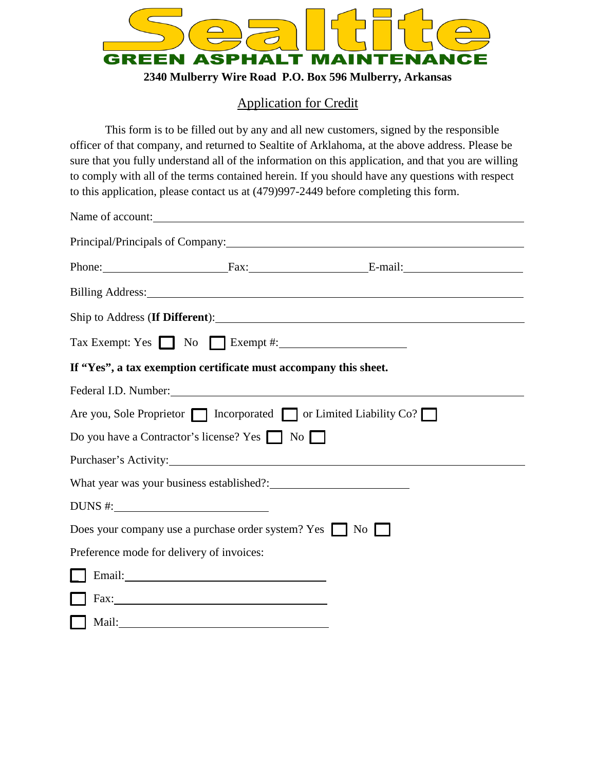

**2340 Mulberry Wire Road P.O. Box 596 Mulberry, Arkansas**

## Application for Credit

This form is to be filled out by any and all new customers, signed by the responsible officer of that company, and returned to Sealtite of Arklahoma, at the above address. Please be sure that you fully understand all of the information on this application, and that you are willing to comply with all of the terms contained herein. If you should have any questions with respect to this application, please contact us at (479)997-2449 before completing this form.

|                                           | Name of account:                                                 |                                                                                                                                                                                                                                |  |
|-------------------------------------------|------------------------------------------------------------------|--------------------------------------------------------------------------------------------------------------------------------------------------------------------------------------------------------------------------------|--|
|                                           |                                                                  |                                                                                                                                                                                                                                |  |
|                                           |                                                                  | Phone: Fax: Fax: E-mail:                                                                                                                                                                                                       |  |
|                                           |                                                                  | Billing Address: No. 1996. The Committee of the Committee of the Committee of the Committee of the Committee of the Committee of the Committee of the Committee of the Committee of the Committee of the Committee of the Comm |  |
|                                           |                                                                  |                                                                                                                                                                                                                                |  |
|                                           | $\text{Tax Exempt: Yes}$ No $\Box$ Exempt #:                     |                                                                                                                                                                                                                                |  |
|                                           | If "Yes", a tax exemption certificate must accompany this sheet. |                                                                                                                                                                                                                                |  |
|                                           |                                                                  | Federal I.D. Number: 1999 and 1999 and 1999 and 1999 and 1999 and 1999 and 1999 and 1999 and 1999 and 1999 and 1999 and 1999 and 1999 and 1999 and 1999 and 1999 and 1999 and 1999 and 1999 and 1999 and 1999 and 1999 and 199 |  |
|                                           |                                                                  | Are you, Sole Proprietor   Incorporated   or Limited Liability Co?                                                                                                                                                             |  |
|                                           | Do you have a Contractor's license? Yes No                       |                                                                                                                                                                                                                                |  |
|                                           |                                                                  |                                                                                                                                                                                                                                |  |
|                                           |                                                                  |                                                                                                                                                                                                                                |  |
| DUNS #:                                   |                                                                  |                                                                                                                                                                                                                                |  |
|                                           | Does your company use a purchase order system? Yes No            |                                                                                                                                                                                                                                |  |
| Preference mode for delivery of invoices: |                                                                  |                                                                                                                                                                                                                                |  |
|                                           | Email: Email:                                                    |                                                                                                                                                                                                                                |  |
|                                           |                                                                  |                                                                                                                                                                                                                                |  |
|                                           | Mail: Mail:                                                      |                                                                                                                                                                                                                                |  |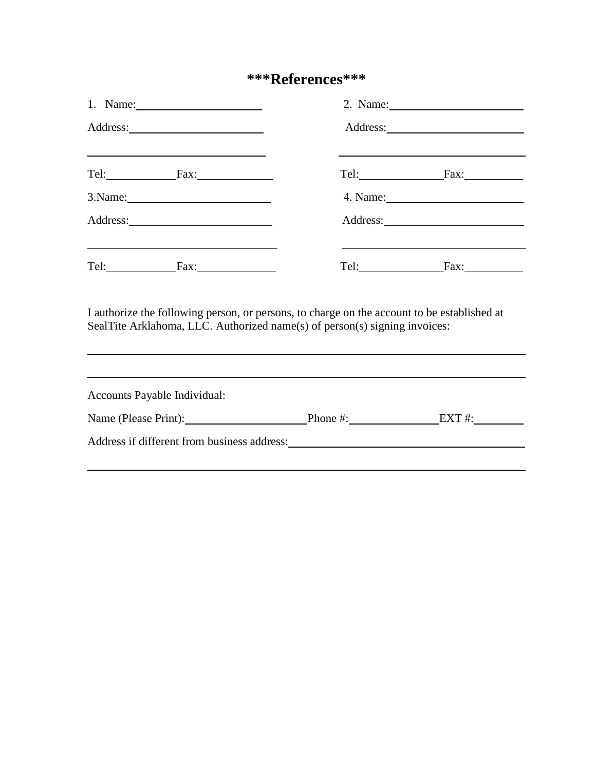# **\*\*\*References\*\*\***

| <u> 1989 - Johann Stein, mars an deus an deus Amerikaanse komme en de Fryske komme en oantale</u><br>Tel: Fax: Fax: |                                                                            | Tel: Fax: Fax:                                                                                                                                                                  |
|---------------------------------------------------------------------------------------------------------------------|----------------------------------------------------------------------------|---------------------------------------------------------------------------------------------------------------------------------------------------------------------------------|
|                                                                                                                     |                                                                            |                                                                                                                                                                                 |
|                                                                                                                     |                                                                            |                                                                                                                                                                                 |
| <u> 1989 - Johann Stoff, amerikansk politiker (d. 1989)</u><br>$Tel:$ Fax:                                          |                                                                            | Tel: Fax: Fax:                                                                                                                                                                  |
|                                                                                                                     | SealTite Arklahoma, LLC. Authorized name(s) of person(s) signing invoices: | I authorize the following person, or persons, to charge on the account to be established at<br>,我们也不会有什么?""我们的人,我们也不会有什么?""我们的人,我们也不会有什么?""我们的人,我们也不会有什么?""我们的人,我们也不会有什么?""我们的人 |
| Accounts Payable Individual:                                                                                        |                                                                            | ,我们也不会有什么。""我们的人,我们也不会有什么?""我们的人,我们也不会有什么?""我们的人,我们也不会有什么?""我们的人,我们也不会有什么?""我们的人                                                                                                |
|                                                                                                                     |                                                                            | Name (Please Print): Phone #: EXT #:                                                                                                                                            |
|                                                                                                                     |                                                                            | Address if different from business address: Manual Address and The President School and Address if different from business address:                                             |
|                                                                                                                     |                                                                            |                                                                                                                                                                                 |

 $\overline{a}$